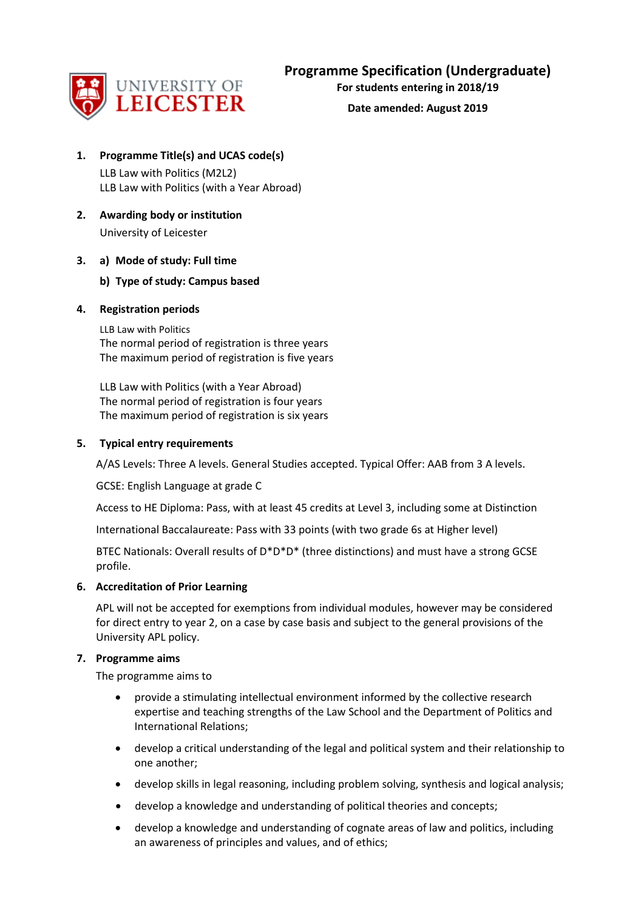

**For students entering in 2018/19**

**Date amended: August 2019**

# **1. Programme Title(s) and UCAS code(s)**

LLB Law with Politics (M2L2) LLB Law with Politics (with a Year Abroad)

**2. Awarding body or institution** University of Leicester

### **3. a) Mode of study: Full time**

### **b) Type of study: Campus based**

### **4. Registration periods**

LLB Law with Politics The normal period of registration is three years The maximum period of registration is five years

LLB Law with Politics (with a Year Abroad) The normal period of registration is four years The maximum period of registration is six years

### **5. Typical entry requirements**

A/AS Levels: Three A levels. General Studies accepted. Typical Offer: AAB from 3 A levels.

GCSE: English Language at grade C

Access to HE Diploma: Pass, with at least 45 credits at Level 3, including some at Distinction

International Baccalaureate: Pass with 33 points (with two grade 6s at Higher level)

BTEC Nationals: Overall results of D\*D\*D\* (three distinctions) and must have a strong GCSE profile.

### **6. Accreditation of Prior Learning**

APL will not be accepted for exemptions from individual modules, however may be considered for direct entry to year 2, on a case by case basis and subject to the general provisions of the University APL policy.

#### **7. Programme aims**

The programme aims to

- provide a stimulating intellectual environment informed by the collective research expertise and teaching strengths of the Law School and the Department of Politics and International Relations;
- develop a critical understanding of the legal and political system and their relationship to one another;
- develop skills in legal reasoning, including problem solving, synthesis and logical analysis;
- develop a knowledge and understanding of political theories and concepts;
- develop a knowledge and understanding of cognate areas of law and politics, including an awareness of principles and values, and of ethics;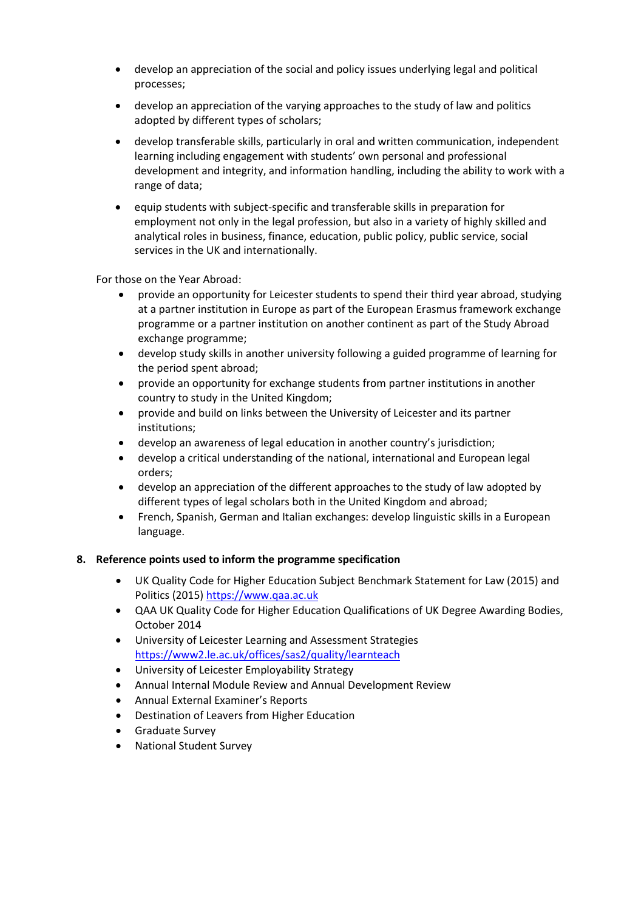- develop an appreciation of the social and policy issues underlying legal and political processes;
- develop an appreciation of the varying approaches to the study of law and politics adopted by different types of scholars;
- develop transferable skills, particularly in oral and written communication, independent learning including engagement with students' own personal and professional development and integrity, and information handling, including the ability to work with a range of data;
- equip students with subject-specific and transferable skills in preparation for employment not only in the legal profession, but also in a variety of highly skilled and analytical roles in business, finance, education, public policy, public service, social services in the UK and internationally.

For those on the Year Abroad:

- provide an opportunity for Leicester students to spend their third year abroad, studying at a partner institution in Europe as part of the European Erasmus framework exchange programme or a partner institution on another continent as part of the Study Abroad exchange programme;
- develop study skills in another university following a guided programme of learning for the period spent abroad;
- provide an opportunity for exchange students from partner institutions in another country to study in the United Kingdom;
- provide and build on links between the University of Leicester and its partner institutions;
- develop an awareness of legal education in another country's jurisdiction;
- develop a critical understanding of the national, international and European legal orders;
- develop an appreciation of the different approaches to the study of law adopted by different types of legal scholars both in the United Kingdom and abroad;
- French, Spanish, German and Italian exchanges: develop linguistic skills in a European language.

#### **8. Reference points used to inform the programme specification**

- UK Quality Code for Higher Education Subject Benchmark Statement for Law (2015) and Politics (2015[\) https://www.qaa.ac.uk](https://www.qaa.ac.uk/)
- QAA UK Quality Code for Higher Education Qualifications of UK Degree Awarding Bodies, October 2014
- University of Leicester Learning and Assessment Strategies <https://www2.le.ac.uk/offices/sas2/quality/learnteach>
- University of Leicester Employability Strategy
- Annual Internal Module Review and Annual Development Review
- Annual External Examiner's Reports
- Destination of Leavers from Higher Education
- Graduate Survey
- National Student Survey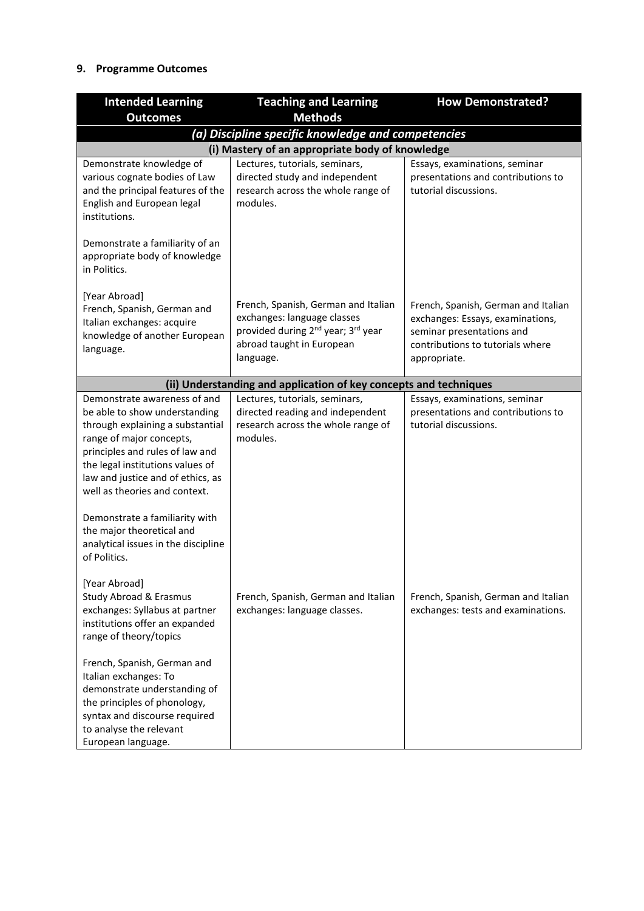### **9. Programme Outcomes**

| <b>Intended Learning</b>                                                                                                                                                                                                                                                                                     | <b>Teaching and Learning</b>                                                                                                                                               | <b>How Demonstrated?</b>                                                                                                                                 |  |  |  |  |  |  |  |  |  |
|--------------------------------------------------------------------------------------------------------------------------------------------------------------------------------------------------------------------------------------------------------------------------------------------------------------|----------------------------------------------------------------------------------------------------------------------------------------------------------------------------|----------------------------------------------------------------------------------------------------------------------------------------------------------|--|--|--|--|--|--|--|--|--|
| <b>Outcomes</b>                                                                                                                                                                                                                                                                                              | <b>Methods</b>                                                                                                                                                             |                                                                                                                                                          |  |  |  |  |  |  |  |  |  |
|                                                                                                                                                                                                                                                                                                              | (a) Discipline specific knowledge and competencies                                                                                                                         |                                                                                                                                                          |  |  |  |  |  |  |  |  |  |
|                                                                                                                                                                                                                                                                                                              | (i) Mastery of an appropriate body of knowledge                                                                                                                            |                                                                                                                                                          |  |  |  |  |  |  |  |  |  |
| Demonstrate knowledge of<br>various cognate bodies of Law<br>and the principal features of the<br>English and European legal<br>institutions.                                                                                                                                                                | Lectures, tutorials, seminars,<br>directed study and independent<br>research across the whole range of<br>modules.                                                         | Essays, examinations, seminar<br>presentations and contributions to<br>tutorial discussions.                                                             |  |  |  |  |  |  |  |  |  |
| Demonstrate a familiarity of an<br>appropriate body of knowledge<br>in Politics.                                                                                                                                                                                                                             |                                                                                                                                                                            |                                                                                                                                                          |  |  |  |  |  |  |  |  |  |
| [Year Abroad]<br>French, Spanish, German and<br>Italian exchanges: acquire<br>knowledge of another European<br>language.                                                                                                                                                                                     | French, Spanish, German and Italian<br>exchanges: language classes<br>provided during 2 <sup>nd</sup> year; 3 <sup>rd</sup> year<br>abroad taught in European<br>language. | French, Spanish, German and Italian<br>exchanges: Essays, examinations,<br>seminar presentations and<br>contributions to tutorials where<br>appropriate. |  |  |  |  |  |  |  |  |  |
|                                                                                                                                                                                                                                                                                                              | (ii) Understanding and application of key concepts and techniques                                                                                                          |                                                                                                                                                          |  |  |  |  |  |  |  |  |  |
| Demonstrate awareness of and<br>be able to show understanding<br>through explaining a substantial<br>range of major concepts,<br>principles and rules of law and<br>the legal institutions values of<br>law and justice and of ethics, as<br>well as theories and context.<br>Demonstrate a familiarity with | Lectures, tutorials, seminars,<br>directed reading and independent<br>research across the whole range of<br>modules.                                                       | Essays, examinations, seminar<br>presentations and contributions to<br>tutorial discussions.                                                             |  |  |  |  |  |  |  |  |  |
| the major theoretical and<br>analytical issues in the discipline<br>of Politics.<br>[Year Abroad]<br><b>Study Abroad &amp; Erasmus</b>                                                                                                                                                                       | French, Spanish, German and Italian                                                                                                                                        | French, Spanish, German and Italian                                                                                                                      |  |  |  |  |  |  |  |  |  |
| exchanges: Syllabus at partner<br>institutions offer an expanded<br>range of theory/topics<br>French, Spanish, German and                                                                                                                                                                                    | exchanges: language classes.                                                                                                                                               | exchanges: tests and examinations.                                                                                                                       |  |  |  |  |  |  |  |  |  |
| Italian exchanges: To<br>demonstrate understanding of<br>the principles of phonology,<br>syntax and discourse required<br>to analyse the relevant<br>European language.                                                                                                                                      |                                                                                                                                                                            |                                                                                                                                                          |  |  |  |  |  |  |  |  |  |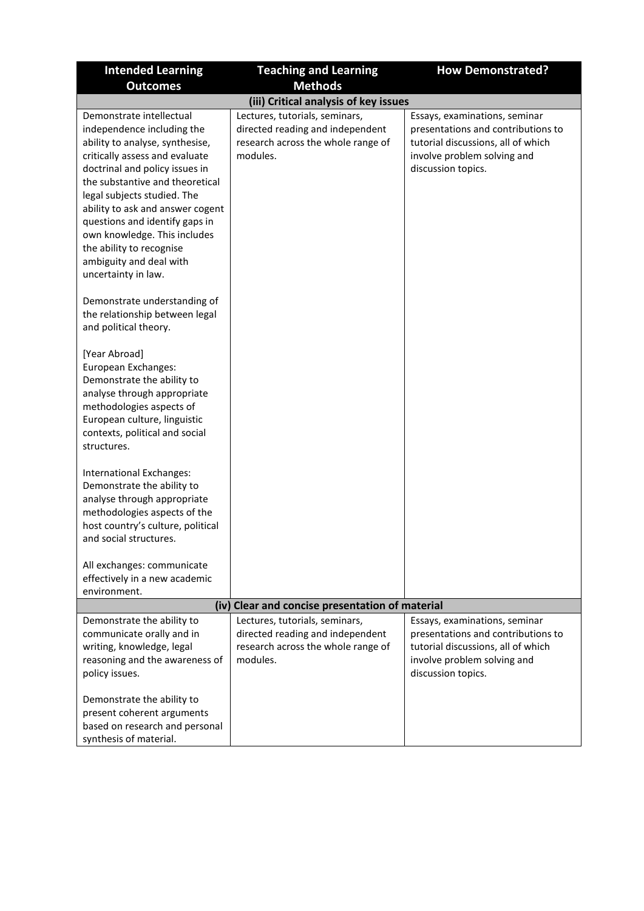| <b>Intended Learning</b>                                                                                                                                                                                                                                                                                                                                                                                            | <b>Teaching and Learning</b>                                                                                         |                                                                                                                                                                |  |  |  |  |  |  |  |  |  |
|---------------------------------------------------------------------------------------------------------------------------------------------------------------------------------------------------------------------------------------------------------------------------------------------------------------------------------------------------------------------------------------------------------------------|----------------------------------------------------------------------------------------------------------------------|----------------------------------------------------------------------------------------------------------------------------------------------------------------|--|--|--|--|--|--|--|--|--|
| <b>Outcomes</b>                                                                                                                                                                                                                                                                                                                                                                                                     | <b>Methods</b>                                                                                                       |                                                                                                                                                                |  |  |  |  |  |  |  |  |  |
|                                                                                                                                                                                                                                                                                                                                                                                                                     | (iii) Critical analysis of key issues                                                                                |                                                                                                                                                                |  |  |  |  |  |  |  |  |  |
| Demonstrate intellectual<br>independence including the<br>ability to analyse, synthesise,<br>critically assess and evaluate<br>doctrinal and policy issues in<br>the substantive and theoretical<br>legal subjects studied. The<br>ability to ask and answer cogent<br>questions and identify gaps in<br>own knowledge. This includes<br>the ability to recognise<br>ambiguity and deal with<br>uncertainty in law. | Lectures, tutorials, seminars,<br>directed reading and independent<br>research across the whole range of<br>modules. | Essays, examinations, seminar<br>presentations and contributions to<br>tutorial discussions, all of which<br>involve problem solving and<br>discussion topics. |  |  |  |  |  |  |  |  |  |
| Demonstrate understanding of<br>the relationship between legal<br>and political theory.                                                                                                                                                                                                                                                                                                                             |                                                                                                                      |                                                                                                                                                                |  |  |  |  |  |  |  |  |  |
| [Year Abroad]<br>European Exchanges:<br>Demonstrate the ability to<br>analyse through appropriate<br>methodologies aspects of<br>European culture, linguistic<br>contexts, political and social<br>structures.                                                                                                                                                                                                      |                                                                                                                      |                                                                                                                                                                |  |  |  |  |  |  |  |  |  |
| International Exchanges:<br>Demonstrate the ability to<br>analyse through appropriate<br>methodologies aspects of the<br>host country's culture, political<br>and social structures.<br>All exchanges: communicate<br>effectively in a new academic                                                                                                                                                                 |                                                                                                                      |                                                                                                                                                                |  |  |  |  |  |  |  |  |  |
| environment.                                                                                                                                                                                                                                                                                                                                                                                                        |                                                                                                                      |                                                                                                                                                                |  |  |  |  |  |  |  |  |  |
|                                                                                                                                                                                                                                                                                                                                                                                                                     | (iv) Clear and concise presentation of material                                                                      |                                                                                                                                                                |  |  |  |  |  |  |  |  |  |
| Demonstrate the ability to<br>communicate orally and in<br>writing, knowledge, legal<br>reasoning and the awareness of<br>policy issues.                                                                                                                                                                                                                                                                            | Lectures, tutorials, seminars,<br>directed reading and independent<br>research across the whole range of<br>modules. | Essays, examinations, seminar<br>presentations and contributions to<br>tutorial discussions, all of which<br>involve problem solving and<br>discussion topics. |  |  |  |  |  |  |  |  |  |
| Demonstrate the ability to<br>present coherent arguments<br>based on research and personal<br>synthesis of material.                                                                                                                                                                                                                                                                                                |                                                                                                                      |                                                                                                                                                                |  |  |  |  |  |  |  |  |  |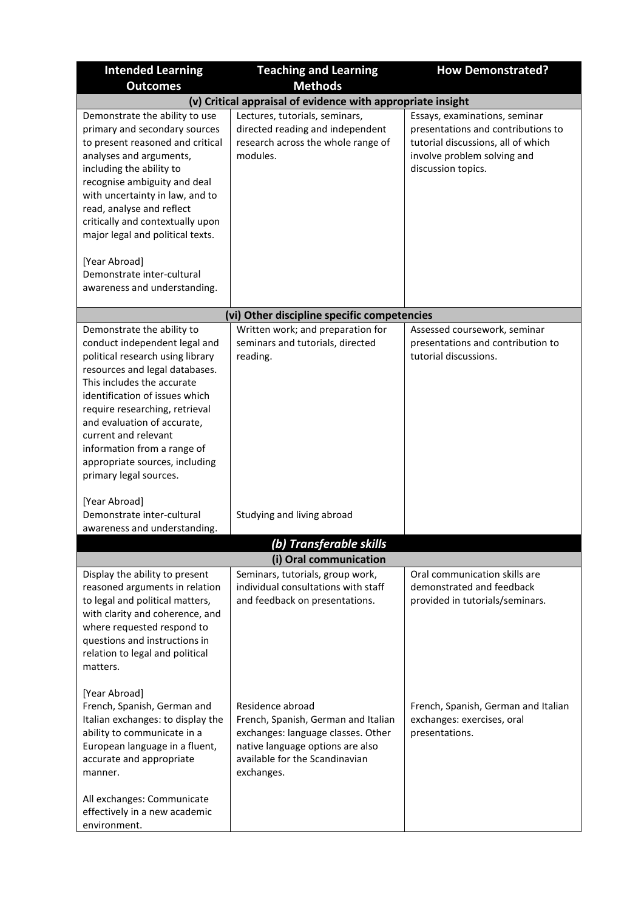| <b>Intended Learning</b>                                                                                                                                                                                                                                                                                                                                                                                          | <b>Teaching and Learning</b>                                                                                                                                                      | <b>How Demonstrated?</b>                                                                                                                                       |  |  |  |  |  |  |  |  |  |  |
|-------------------------------------------------------------------------------------------------------------------------------------------------------------------------------------------------------------------------------------------------------------------------------------------------------------------------------------------------------------------------------------------------------------------|-----------------------------------------------------------------------------------------------------------------------------------------------------------------------------------|----------------------------------------------------------------------------------------------------------------------------------------------------------------|--|--|--|--|--|--|--|--|--|--|
| <b>Outcomes</b>                                                                                                                                                                                                                                                                                                                                                                                                   | <b>Methods</b>                                                                                                                                                                    |                                                                                                                                                                |  |  |  |  |  |  |  |  |  |  |
|                                                                                                                                                                                                                                                                                                                                                                                                                   | (v) Critical appraisal of evidence with appropriate insight                                                                                                                       |                                                                                                                                                                |  |  |  |  |  |  |  |  |  |  |
| Demonstrate the ability to use<br>primary and secondary sources<br>to present reasoned and critical<br>analyses and arguments,<br>including the ability to<br>recognise ambiguity and deal<br>with uncertainty in law, and to<br>read, analyse and reflect<br>critically and contextually upon<br>major legal and political texts.<br>[Year Abroad]<br>Demonstrate inter-cultural<br>awareness and understanding. | Lectures, tutorials, seminars,<br>directed reading and independent<br>research across the whole range of<br>modules.                                                              | Essays, examinations, seminar<br>presentations and contributions to<br>tutorial discussions, all of which<br>involve problem solving and<br>discussion topics. |  |  |  |  |  |  |  |  |  |  |
|                                                                                                                                                                                                                                                                                                                                                                                                                   |                                                                                                                                                                                   |                                                                                                                                                                |  |  |  |  |  |  |  |  |  |  |
|                                                                                                                                                                                                                                                                                                                                                                                                                   | (vi) Other discipline specific competencies                                                                                                                                       |                                                                                                                                                                |  |  |  |  |  |  |  |  |  |  |
| Demonstrate the ability to<br>conduct independent legal and<br>political research using library<br>resources and legal databases.<br>This includes the accurate<br>identification of issues which<br>require researching, retrieval<br>and evaluation of accurate,<br>current and relevant<br>information from a range of<br>appropriate sources, including<br>primary legal sources.                             | Written work; and preparation for<br>seminars and tutorials, directed<br>reading.                                                                                                 | Assessed coursework, seminar<br>presentations and contribution to<br>tutorial discussions.                                                                     |  |  |  |  |  |  |  |  |  |  |
| [Year Abroad]<br>Demonstrate inter-cultural<br>awareness and understanding.                                                                                                                                                                                                                                                                                                                                       | Studying and living abroad                                                                                                                                                        |                                                                                                                                                                |  |  |  |  |  |  |  |  |  |  |
|                                                                                                                                                                                                                                                                                                                                                                                                                   | (b) Transferable skills                                                                                                                                                           |                                                                                                                                                                |  |  |  |  |  |  |  |  |  |  |
|                                                                                                                                                                                                                                                                                                                                                                                                                   | (i) Oral communication                                                                                                                                                            |                                                                                                                                                                |  |  |  |  |  |  |  |  |  |  |
| Display the ability to present<br>reasoned arguments in relation<br>to legal and political matters,<br>with clarity and coherence, and<br>where requested respond to<br>questions and instructions in<br>relation to legal and political<br>matters.                                                                                                                                                              | Seminars, tutorials, group work,<br>individual consultations with staff<br>and feedback on presentations.                                                                         | Oral communication skills are<br>demonstrated and feedback<br>provided in tutorials/seminars.                                                                  |  |  |  |  |  |  |  |  |  |  |
| [Year Abroad]<br>French, Spanish, German and<br>Italian exchanges: to display the<br>ability to communicate in a<br>European language in a fluent,<br>accurate and appropriate<br>manner.<br>All exchanges: Communicate<br>effectively in a new academic                                                                                                                                                          | Residence abroad<br>French, Spanish, German and Italian<br>exchanges: language classes. Other<br>native language options are also<br>available for the Scandinavian<br>exchanges. | French, Spanish, German and Italian<br>exchanges: exercises, oral<br>presentations.                                                                            |  |  |  |  |  |  |  |  |  |  |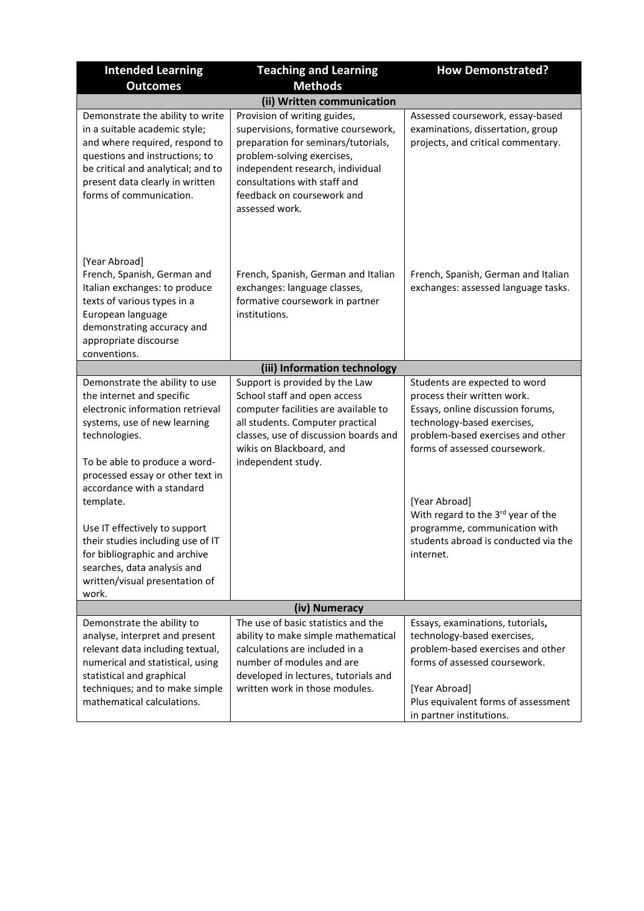| <b>Intended Learning</b>                                                                                                                                                                                                                                                                                                                                                                                                                          | <b>How Demonstrated?</b>                                                                                                                                                                                                                                     |                                                                                                                                                                                                                                                                                                                                                     |
|---------------------------------------------------------------------------------------------------------------------------------------------------------------------------------------------------------------------------------------------------------------------------------------------------------------------------------------------------------------------------------------------------------------------------------------------------|--------------------------------------------------------------------------------------------------------------------------------------------------------------------------------------------------------------------------------------------------------------|-----------------------------------------------------------------------------------------------------------------------------------------------------------------------------------------------------------------------------------------------------------------------------------------------------------------------------------------------------|
| <b>Outcomes</b>                                                                                                                                                                                                                                                                                                                                                                                                                                   | <b>Methods</b>                                                                                                                                                                                                                                               |                                                                                                                                                                                                                                                                                                                                                     |
|                                                                                                                                                                                                                                                                                                                                                                                                                                                   | (ii) Written communication                                                                                                                                                                                                                                   |                                                                                                                                                                                                                                                                                                                                                     |
| Demonstrate the ability to write<br>in a suitable academic style;<br>and where required, respond to<br>questions and instructions; to<br>be critical and analytical; and to<br>present data clearly in written<br>forms of communication.                                                                                                                                                                                                         | Provision of writing guides,<br>supervisions, formative coursework,<br>preparation for seminars/tutorials,<br>problem-solving exercises,<br>independent research, individual<br>consultations with staff and<br>feedback on coursework and<br>assessed work. | Assessed coursework, essay-based<br>examinations, dissertation, group<br>projects, and critical commentary.                                                                                                                                                                                                                                         |
| [Year Abroad]<br>French, Spanish, German and<br>Italian exchanges: to produce<br>texts of various types in a<br>European language<br>demonstrating accuracy and<br>appropriate discourse<br>conventions.                                                                                                                                                                                                                                          | French, Spanish, German and Italian<br>exchanges: language classes,<br>formative coursework in partner<br>institutions.                                                                                                                                      | French, Spanish, German and Italian<br>exchanges: assessed language tasks.                                                                                                                                                                                                                                                                          |
|                                                                                                                                                                                                                                                                                                                                                                                                                                                   | (iii) Information technology                                                                                                                                                                                                                                 |                                                                                                                                                                                                                                                                                                                                                     |
| Demonstrate the ability to use<br>the internet and specific<br>electronic information retrieval<br>systems, use of new learning<br>technologies.<br>To be able to produce a word-<br>processed essay or other text in<br>accordance with a standard<br>template.<br>Use IT effectively to support<br>their studies including use of IT<br>for bibliographic and archive<br>searches, data analysis and<br>written/visual presentation of<br>work. | Support is provided by the Law<br>School staff and open access<br>computer facilities are available to<br>all students. Computer practical<br>classes, use of discussion boards and<br>wikis on Blackboard, and<br>independent study.                        | Students are expected to word<br>process their written work.<br>Essays, online discussion forums,<br>technology-based exercises,<br>problem-based exercises and other<br>forms of assessed coursework.<br>[Year Abroad]<br>With regard to the 3rd year of the<br>programme, communication with<br>students abroad is conducted via the<br>internet. |
|                                                                                                                                                                                                                                                                                                                                                                                                                                                   | (iv) Numeracy                                                                                                                                                                                                                                                |                                                                                                                                                                                                                                                                                                                                                     |
| Demonstrate the ability to<br>analyse, interpret and present<br>relevant data including textual,<br>numerical and statistical, using<br>statistical and graphical<br>techniques; and to make simple<br>mathematical calculations.                                                                                                                                                                                                                 | The use of basic statistics and the<br>ability to make simple mathematical<br>calculations are included in a<br>number of modules and are<br>developed in lectures, tutorials and<br>written work in those modules.                                          | Essays, examinations, tutorials,<br>technology-based exercises,<br>problem-based exercises and other<br>forms of assessed coursework.<br>[Year Abroad]<br>Plus equivalent forms of assessment<br>in partner institutions.                                                                                                                           |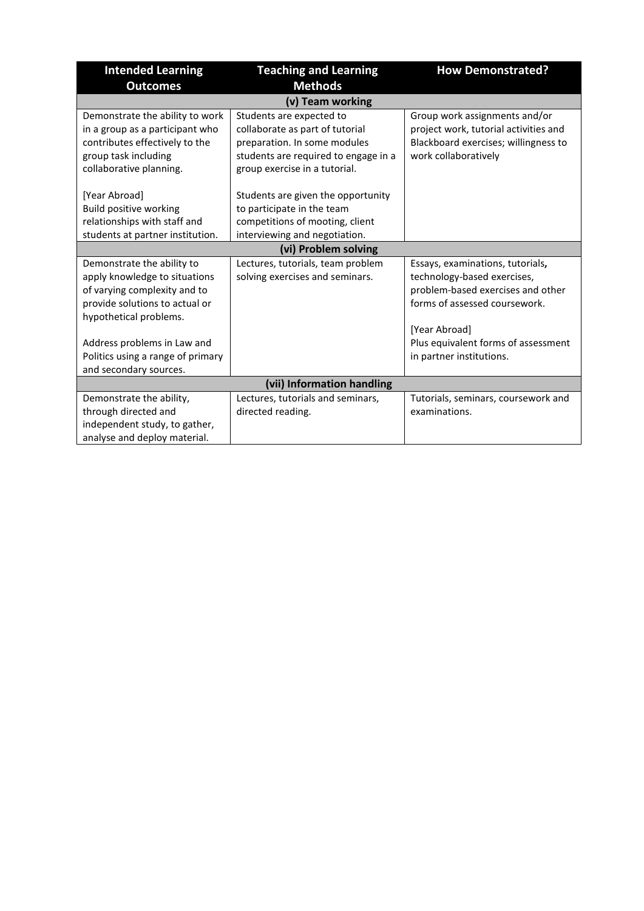| <b>Intended Learning</b>          | <b>Teaching and Learning</b>         | <b>How Demonstrated?</b>              |
|-----------------------------------|--------------------------------------|---------------------------------------|
| <b>Outcomes</b>                   | <b>Methods</b>                       |                                       |
|                                   |                                      |                                       |
| Demonstrate the ability to work   | Students are expected to             | Group work assignments and/or         |
| in a group as a participant who   | collaborate as part of tutorial      | project work, tutorial activities and |
| contributes effectively to the    | preparation. In some modules         | Blackboard exercises; willingness to  |
| group task including              | students are required to engage in a | work collaboratively                  |
| collaborative planning.           | group exercise in a tutorial.        |                                       |
|                                   |                                      |                                       |
| [Year Abroad]                     | Students are given the opportunity   |                                       |
| <b>Build positive working</b>     | to participate in the team           |                                       |
| relationships with staff and      | competitions of mooting, client      |                                       |
| students at partner institution.  | interviewing and negotiation.        |                                       |
|                                   | (vi) Problem solving                 |                                       |
| Demonstrate the ability to        | Lectures, tutorials, team problem    | Essays, examinations, tutorials,      |
| apply knowledge to situations     | solving exercises and seminars.      | technology-based exercises,           |
| of varying complexity and to      |                                      | problem-based exercises and other     |
| provide solutions to actual or    |                                      | forms of assessed coursework.         |
| hypothetical problems.            |                                      |                                       |
|                                   |                                      | [Year Abroad]                         |
| Address problems in Law and       |                                      | Plus equivalent forms of assessment   |
| Politics using a range of primary |                                      | in partner institutions.              |
| and secondary sources.            |                                      |                                       |
|                                   | (vii) Information handling           |                                       |
| Demonstrate the ability,          | Lectures, tutorials and seminars,    | Tutorials, seminars, coursework and   |
| through directed and              | directed reading.                    | examinations.                         |
| independent study, to gather,     |                                      |                                       |
| analyse and deploy material.      |                                      |                                       |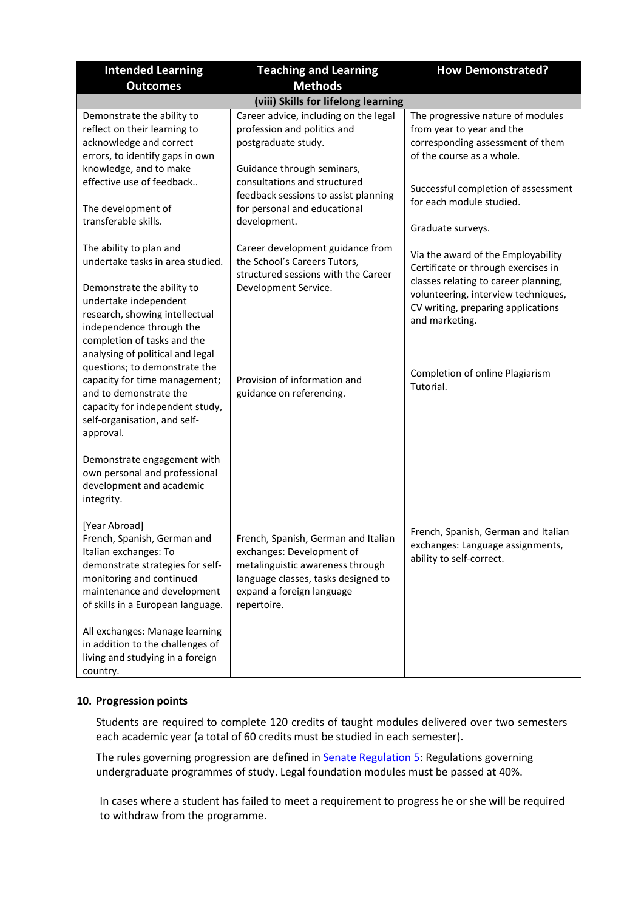| <b>Intended Learning</b>                                                                                                                                                                                                                                                                                                                                                                                                                  | <b>Teaching and Learning</b>                                                                                                                                                                                                                      | <b>How Demonstrated?</b>                                                                                                                                                                                                                                         |  |  |  |  |  |  |  |  |  |
|-------------------------------------------------------------------------------------------------------------------------------------------------------------------------------------------------------------------------------------------------------------------------------------------------------------------------------------------------------------------------------------------------------------------------------------------|---------------------------------------------------------------------------------------------------------------------------------------------------------------------------------------------------------------------------------------------------|------------------------------------------------------------------------------------------------------------------------------------------------------------------------------------------------------------------------------------------------------------------|--|--|--|--|--|--|--|--|--|
| <b>Outcomes</b>                                                                                                                                                                                                                                                                                                                                                                                                                           | <b>Methods</b>                                                                                                                                                                                                                                    |                                                                                                                                                                                                                                                                  |  |  |  |  |  |  |  |  |  |
|                                                                                                                                                                                                                                                                                                                                                                                                                                           | (viii) Skills for lifelong learning                                                                                                                                                                                                               |                                                                                                                                                                                                                                                                  |  |  |  |  |  |  |  |  |  |
| Demonstrate the ability to<br>reflect on their learning to<br>acknowledge and correct<br>errors, to identify gaps in own<br>knowledge, and to make<br>effective use of feedback<br>The development of<br>transferable skills.                                                                                                                                                                                                             | Career advice, including on the legal<br>profession and politics and<br>postgraduate study.<br>Guidance through seminars,<br>consultations and structured<br>feedback sessions to assist planning<br>for personal and educational<br>development. | The progressive nature of modules<br>from year to year and the<br>corresponding assessment of them<br>of the course as a whole.<br>Successful completion of assessment<br>for each module studied.<br>Graduate surveys.                                          |  |  |  |  |  |  |  |  |  |
| The ability to plan and<br>undertake tasks in area studied.<br>Demonstrate the ability to<br>undertake independent<br>research, showing intellectual<br>independence through the<br>completion of tasks and the<br>analysing of political and legal<br>questions; to demonstrate the<br>capacity for time management;<br>and to demonstrate the<br>capacity for independent study,<br>self-organisation, and self-<br>approval.           | Career development guidance from<br>the School's Careers Tutors,<br>structured sessions with the Career<br>Development Service.<br>Provision of information and<br>guidance on referencing.                                                       | Via the award of the Employability<br>Certificate or through exercises in<br>classes relating to career planning,<br>volunteering, interview techniques,<br>CV writing, preparing applications<br>and marketing.<br>Completion of online Plagiarism<br>Tutorial. |  |  |  |  |  |  |  |  |  |
| Demonstrate engagement with<br>own personal and professional<br>development and academic<br>integrity.<br>[Year Abroad]<br>French, Spanish, German and<br>Italian exchanges: To<br>demonstrate strategies for self-<br>monitoring and continued<br>maintenance and development<br>of skills in a European language.<br>All exchanges: Manage learning<br>in addition to the challenges of<br>living and studying in a foreign<br>country. | French, Spanish, German and Italian<br>exchanges: Development of<br>metalinguistic awareness through<br>language classes, tasks designed to<br>expand a foreign language<br>repertoire.                                                           | French, Spanish, German and Italian<br>exchanges: Language assignments,<br>ability to self-correct.                                                                                                                                                              |  |  |  |  |  |  |  |  |  |

#### **10. Progression points**

Students are required to complete 120 credits of taught modules delivered over two semesters each academic year (a total of 60 credits must be studied in each semester).

The rules governing progression are defined in **Senate Regulation 5:** Regulations governing undergraduate programmes of study. Legal foundation modules must be passed at 40%.

In cases where a student has failed to meet a requirement to progress he or she will be required to withdraw from the programme.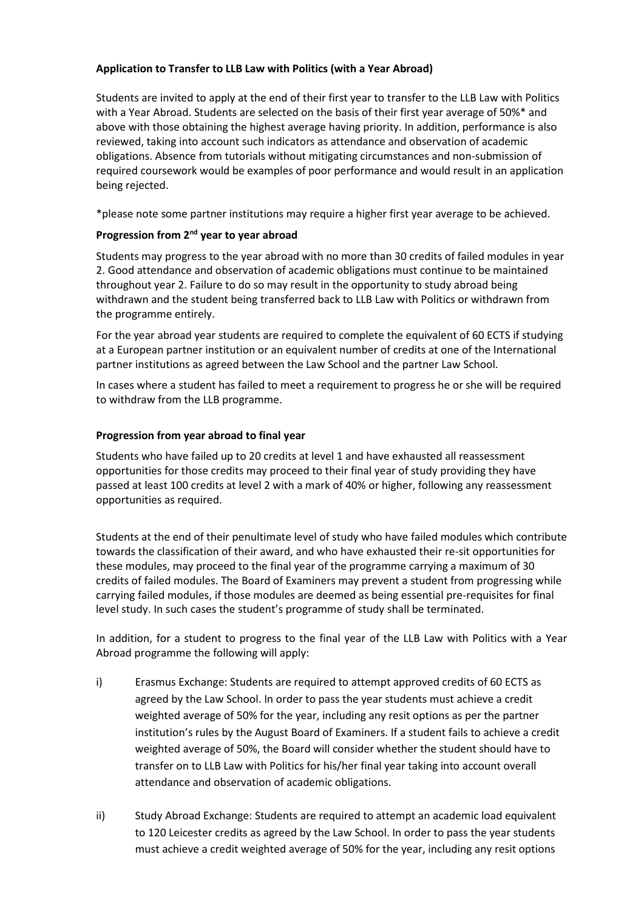### **Application to Transfer to LLB Law with Politics (with a Year Abroad)**

Students are invited to apply at the end of their first year to transfer to the LLB Law with Politics with a Year Abroad. Students are selected on the basis of their first year average of 50%\* and above with those obtaining the highest average having priority. In addition, performance is also reviewed, taking into account such indicators as attendance and observation of academic obligations. Absence from tutorials without mitigating circumstances and non-submission of required coursework would be examples of poor performance and would result in an application being rejected.

\*please note some partner institutions may require a higher first year average to be achieved.

### **Progression from 2nd year to year abroad**

Students may progress to the year abroad with no more than 30 credits of failed modules in year 2. Good attendance and observation of academic obligations must continue to be maintained throughout year 2. Failure to do so may result in the opportunity to study abroad being withdrawn and the student being transferred back to LLB Law with Politics or withdrawn from the programme entirely.

For the year abroad year students are required to complete the equivalent of 60 ECTS if studying at a European partner institution or an equivalent number of credits at one of the International partner institutions as agreed between the Law School and the partner Law School.

In cases where a student has failed to meet a requirement to progress he or she will be required to withdraw from the LLB programme.

#### **Progression from year abroad to final year**

Students who have failed up to 20 credits at level 1 and have exhausted all reassessment opportunities for those credits may proceed to their final year of study providing they have passed at least 100 credits at level 2 with a mark of 40% or higher, following any reassessment opportunities as required.

Students at the end of their penultimate level of study who have failed modules which contribute towards the classification of their award, and who have exhausted their re-sit opportunities for these modules, may proceed to the final year of the programme carrying a maximum of 30 credits of failed modules. The Board of Examiners may prevent a student from progressing while carrying failed modules, if those modules are deemed as being essential pre-requisites for final level study. In such cases the student's programme of study shall be terminated.

In addition, for a student to progress to the final year of the LLB Law with Politics with a Year Abroad programme the following will apply:

- i) Erasmus Exchange: Students are required to attempt approved credits of 60 ECTS as agreed by the Law School. In order to pass the year students must achieve a credit weighted average of 50% for the year, including any resit options as per the partner institution's rules by the August Board of Examiners. If a student fails to achieve a credit weighted average of 50%, the Board will consider whether the student should have to transfer on to LLB Law with Politics for his/her final year taking into account overall attendance and observation of academic obligations.
- ii) Study Abroad Exchange: Students are required to attempt an academic load equivalent to 120 Leicester credits as agreed by the Law School. In order to pass the year students must achieve a credit weighted average of 50% for the year, including any resit options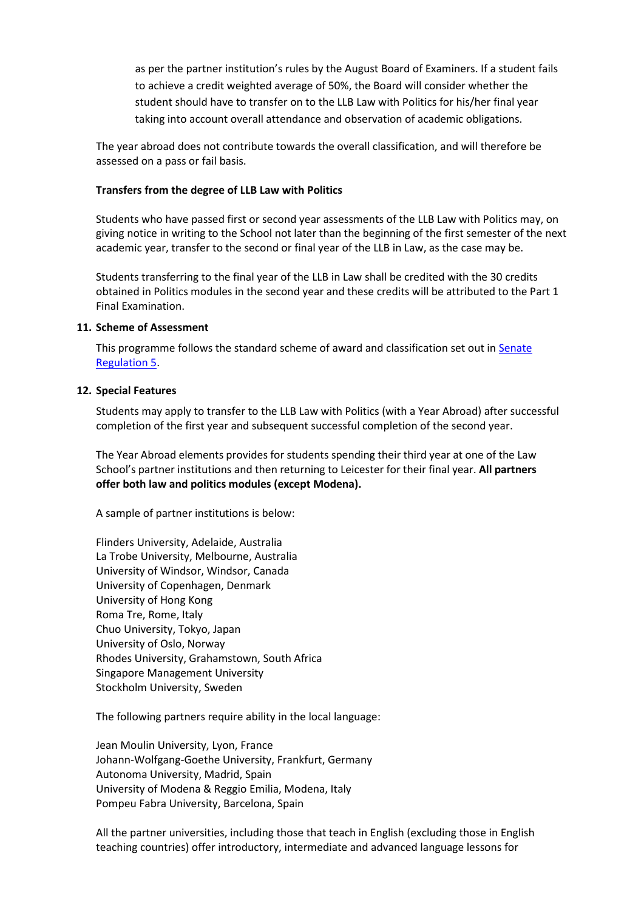as per the partner institution's rules by the August Board of Examiners. If a student fails to achieve a credit weighted average of 50%, the Board will consider whether the student should have to transfer on to the LLB Law with Politics for his/her final year taking into account overall attendance and observation of academic obligations.

The year abroad does not contribute towards the overall classification, and will therefore be assessed on a pass or fail basis.

#### **Transfers from the degree of LLB Law with Politics**

Students who have passed first or second year assessments of the LLB Law with Politics may, on giving notice in writing to the School not later than the beginning of the first semester of the next academic year, transfer to the second or final year of the LLB in Law, as the case may be.

Students transferring to the final year of the LLB in Law shall be credited with the 30 credits obtained in Politics modules in the second year and these credits will be attributed to the Part 1 Final Examination.

#### **11. Scheme of Assessment**

This programme follows the standard scheme of award and classification set out in Senate [Regulation 5.](http://www2.le.ac.uk/offices/sas2/regulations/documents/senatereg5-undergraduates.pdf)

#### **12. Special Features**

Students may apply to transfer to the LLB Law with Politics (with a Year Abroad) after successful completion of the first year and subsequent successful completion of the second year.

The Year Abroad elements provides for students spending their third year at one of the Law School's partner institutions and then returning to Leicester for their final year. **All partners offer both law and politics modules (except Modena).**

A sample of partner institutions is below:

Flinders University, Adelaide, Australia La Trobe University, Melbourne, Australia University of Windsor, Windsor, Canada University of Copenhagen, Denmark University of Hong Kong Roma Tre, Rome, Italy Chuo University, Tokyo, Japan University of Oslo, Norway Rhodes University, Grahamstown, South Africa Singapore Management University Stockholm University, Sweden

The following partners require ability in the local language:

Jean Moulin University, Lyon, France Johann-Wolfgang-Goethe University, Frankfurt, Germany Autonoma University, Madrid, Spain University of Modena & Reggio Emilia, Modena, Italy Pompeu Fabra University, Barcelona, Spain

All the partner universities, including those that teach in English (excluding those in English teaching countries) offer introductory, intermediate and advanced language lessons for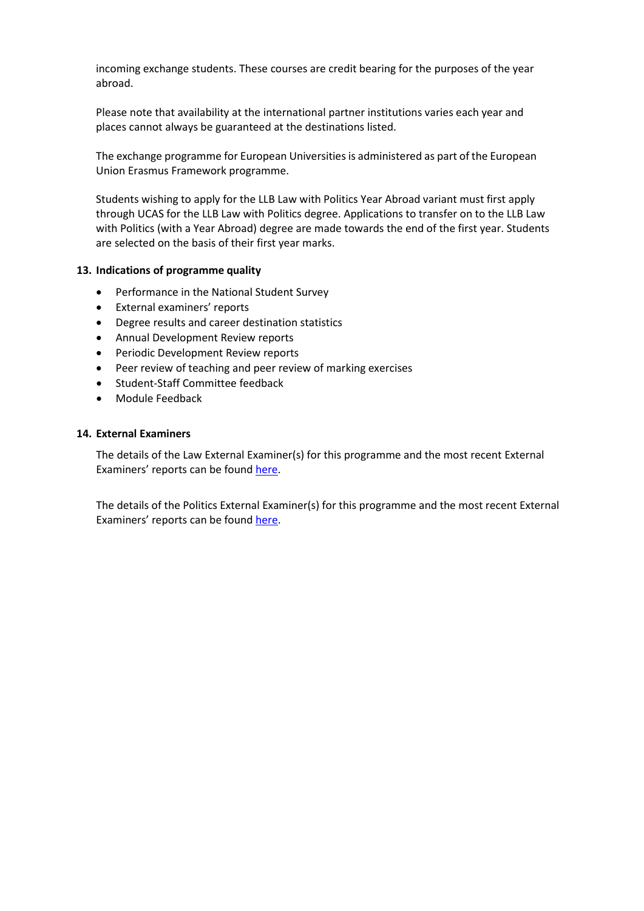incoming exchange students. These courses are credit bearing for the purposes of the year abroad.

Please note that availability at the international partner institutions varies each year and places cannot always be guaranteed at the destinations listed.

The exchange programme for European Universities is administered as part of the European Union Erasmus Framework programme.

Students wishing to apply for the LLB Law with Politics Year Abroad variant must first apply through UCAS for the LLB Law with Politics degree. Applications to transfer on to the LLB Law with Politics (with a Year Abroad) degree are made towards the end of the first year. Students are selected on the basis of their first year marks.

#### **13. Indications of programme quality**

- Performance in the National Student Survey
- External examiners' reports
- Degree results and career destination statistics
- Annual Development Review reports
- Periodic Development Review reports
- Peer review of teaching and peer review of marking exercises
- Student-Staff Committee feedback
- Module Feedback

#### **14. External Examiners**

The details of the Law External Examiner(s) for this programme and the most recent External Examiners' reports can be found [here.](https://exampapers.le.ac.uk/xmlui/handle/123456789/8)

The details of the Politics External Examiner(s) for this programme and the most recent External Examiners' reports can be found [here.](https://exampapers.le.ac.uk/xmlui/handle/123456789/199)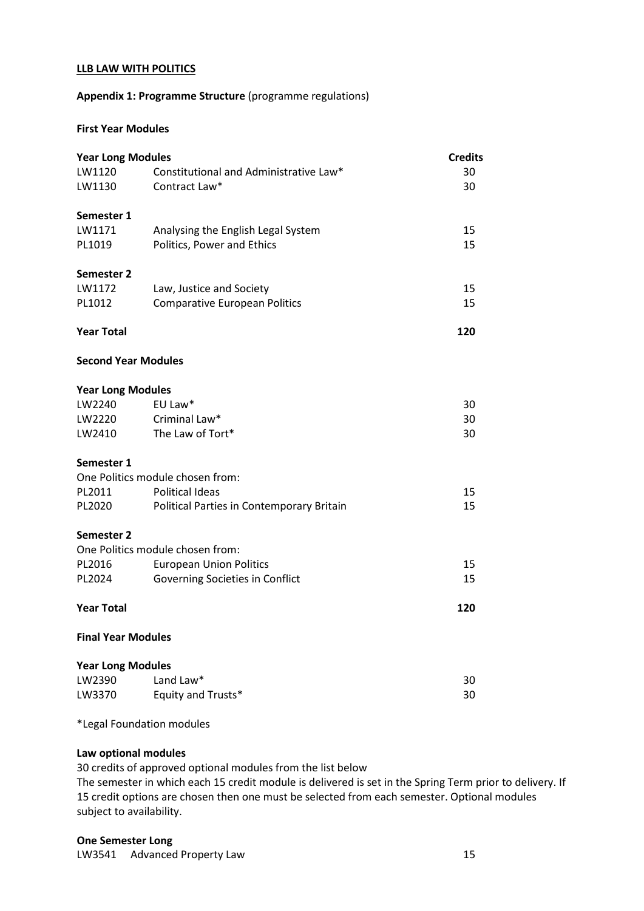#### **LLB LAW WITH POLITICS**

#### **Appendix 1: Programme Structure** (programme regulations)

### **First Year Modules**

| <b>Year Long Modules</b>   |                                           |     |  |  |  |  |  |  |  |
|----------------------------|-------------------------------------------|-----|--|--|--|--|--|--|--|
| LW1120                     | Constitutional and Administrative Law*    | 30  |  |  |  |  |  |  |  |
| LW1130                     | Contract Law*                             | 30  |  |  |  |  |  |  |  |
| Semester 1                 |                                           |     |  |  |  |  |  |  |  |
| LW1171                     | Analysing the English Legal System        | 15  |  |  |  |  |  |  |  |
| PL1019                     | Politics, Power and Ethics                | 15  |  |  |  |  |  |  |  |
| <b>Semester 2</b>          |                                           |     |  |  |  |  |  |  |  |
| LW1172                     | Law, Justice and Society                  | 15  |  |  |  |  |  |  |  |
| PL1012                     | <b>Comparative European Politics</b>      | 15  |  |  |  |  |  |  |  |
| <b>Year Total</b>          |                                           | 120 |  |  |  |  |  |  |  |
| <b>Second Year Modules</b> |                                           |     |  |  |  |  |  |  |  |
| <b>Year Long Modules</b>   |                                           |     |  |  |  |  |  |  |  |
| LW2240                     | EU Law*                                   | 30  |  |  |  |  |  |  |  |
| LW2220                     | Criminal Law*                             | 30  |  |  |  |  |  |  |  |
| LW2410                     | The Law of Tort*                          | 30  |  |  |  |  |  |  |  |
| Semester 1                 |                                           |     |  |  |  |  |  |  |  |
|                            | One Politics module chosen from:          |     |  |  |  |  |  |  |  |
| PL2011                     | <b>Political Ideas</b>                    | 15  |  |  |  |  |  |  |  |
| PL2020                     | Political Parties in Contemporary Britain | 15  |  |  |  |  |  |  |  |
| <b>Semester 2</b>          |                                           |     |  |  |  |  |  |  |  |
|                            | One Politics module chosen from:          |     |  |  |  |  |  |  |  |
| PL2016                     | <b>European Union Politics</b>            | 15  |  |  |  |  |  |  |  |
| PL2024                     | Governing Societies in Conflict           | 15  |  |  |  |  |  |  |  |
| <b>Year Total</b>          |                                           | 120 |  |  |  |  |  |  |  |
| <b>Final Year Modules</b>  |                                           |     |  |  |  |  |  |  |  |
| <b>Year Long Modules</b>   |                                           |     |  |  |  |  |  |  |  |
| LW2390                     | Land Law*                                 | 30  |  |  |  |  |  |  |  |
| LW3370                     | Equity and Trusts*                        | 30  |  |  |  |  |  |  |  |

\*Legal Foundation modules

#### **Law optional modules**

30 credits of approved optional modules from the list below

The semester in which each 15 credit module is delivered is set in the Spring Term prior to delivery. If 15 credit options are chosen then one must be selected from each semester. Optional modules subject to availability.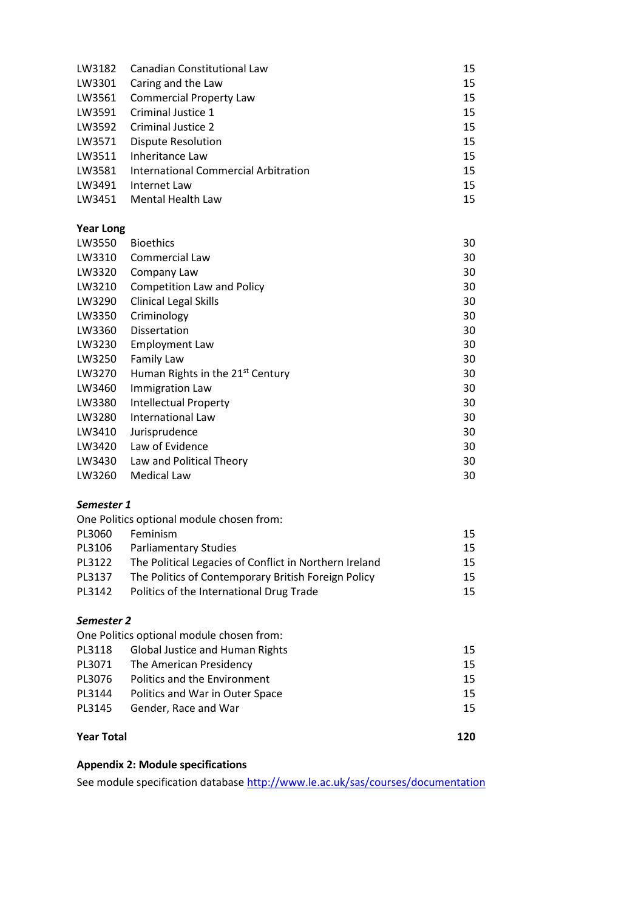| LW3182 | <b>Canadian Constitutional Law</b>   | 15 |
|--------|--------------------------------------|----|
| LW3301 | Caring and the Law                   | 15 |
| LW3561 | <b>Commercial Property Law</b>       | 15 |
| LW3591 | Criminal Justice 1                   | 15 |
| LW3592 | Criminal Justice 2                   | 15 |
| LW3571 | <b>Dispute Resolution</b>            | 15 |
| LW3511 | Inheritance Law                      | 15 |
| LW3581 | International Commercial Arbitration | 15 |
| LW3491 | Internet Law                         | 15 |
| LW3451 | Mental Health Law                    | 15 |
|        |                                      |    |

### **Year Long**

| LW3550 | <b>Bioethics</b>                             | 30 |
|--------|----------------------------------------------|----|
| LW3310 | Commercial Law                               | 30 |
| LW3320 | Company Law                                  | 30 |
| LW3210 | <b>Competition Law and Policy</b>            | 30 |
| LW3290 | <b>Clinical Legal Skills</b>                 | 30 |
| LW3350 | Criminology                                  | 30 |
| LW3360 | <b>Dissertation</b>                          | 30 |
| LW3230 | <b>Employment Law</b>                        | 30 |
| LW3250 | Family Law                                   | 30 |
| LW3270 | Human Rights in the 21 <sup>st</sup> Century | 30 |
| LW3460 | Immigration Law                              | 30 |
| LW3380 | <b>Intellectual Property</b>                 | 30 |
| LW3280 | International Law                            | 30 |
| LW3410 | Jurisprudence                                | 30 |
| LW3420 | Law of Evidence                              | 30 |
| LW3430 | Law and Political Theory                     | 30 |
| LW3260 | Medical Law                                  | 30 |

### *Semester 1*

| One Politics optional module chosen from: |                                                        |    |  |  |  |  |  |  |  |  |  |
|-------------------------------------------|--------------------------------------------------------|----|--|--|--|--|--|--|--|--|--|
| PL3060                                    | Feminism                                               | 15 |  |  |  |  |  |  |  |  |  |
| PL3106                                    | <b>Parliamentary Studies</b>                           | 15 |  |  |  |  |  |  |  |  |  |
| PL3122                                    | The Political Legacies of Conflict in Northern Ireland | 15 |  |  |  |  |  |  |  |  |  |
| PL3137                                    | The Politics of Contemporary British Foreign Policy    | 15 |  |  |  |  |  |  |  |  |  |
| PL3142                                    | Politics of the International Drug Trade               | 15 |  |  |  |  |  |  |  |  |  |

### *Semester 2*

| One Politics optional module chosen from: |                                        |    |  |  |  |  |  |  |  |
|-------------------------------------------|----------------------------------------|----|--|--|--|--|--|--|--|
| PL3118                                    | <b>Global Justice and Human Rights</b> | 15 |  |  |  |  |  |  |  |
| PL3071                                    | The American Presidency                | 15 |  |  |  |  |  |  |  |
| PL3076                                    | Politics and the Environment           | 15 |  |  |  |  |  |  |  |
| PL3144                                    | Politics and War in Outer Space        | 15 |  |  |  |  |  |  |  |
| PL3145                                    | Gender, Race and War                   | 15 |  |  |  |  |  |  |  |
|                                           |                                        |    |  |  |  |  |  |  |  |
| <b>Year Total</b>                         |                                        |    |  |  |  |  |  |  |  |

## **Appendix 2: Module specifications**

See module specification database <http://www.le.ac.uk/sas/courses/documentation>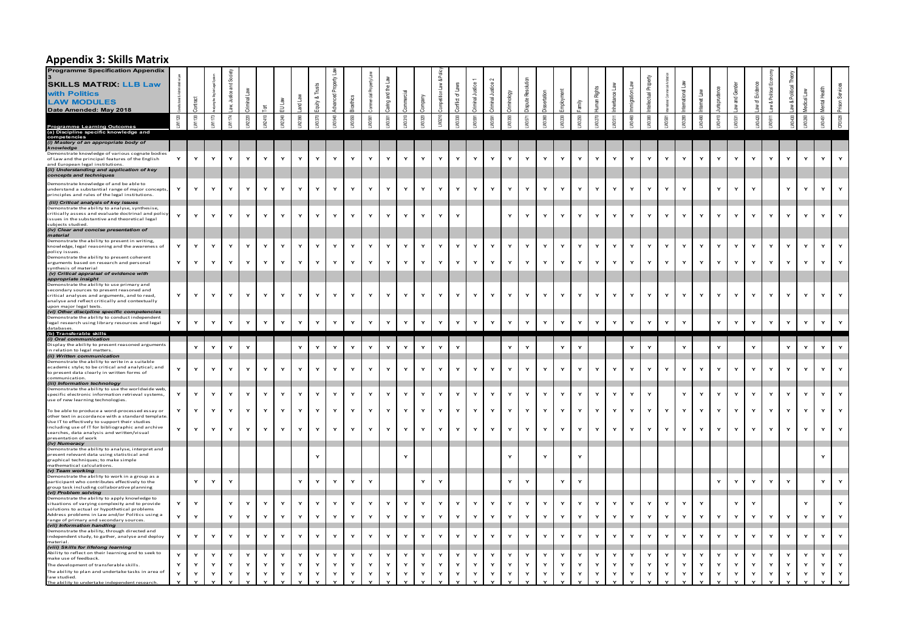#### **Appendix 3: Skills Matrix**

| .                                                                                                                                                                                                                                                                 |              |              |              |                   |        |              |              |                   |                    |                   |        |                    |                         |                              |              |              |              |                   |                |              |        |                              |              |              |              |              |              |              |              |                |                    |              |                   |                    |                    |                   |                              |                  |                              |
|-------------------------------------------------------------------------------------------------------------------------------------------------------------------------------------------------------------------------------------------------------------------|--------------|--------------|--------------|-------------------|--------|--------------|--------------|-------------------|--------------------|-------------------|--------|--------------------|-------------------------|------------------------------|--------------|--------------|--------------|-------------------|----------------|--------------|--------|------------------------------|--------------|--------------|--------------|--------------|--------------|--------------|--------------|----------------|--------------------|--------------|-------------------|--------------------|--------------------|-------------------|------------------------------|------------------|------------------------------|
| <b>Programme Specification Appendix</b><br><b>SKILLS MATRIX: LLB Law</b><br>with Politics<br><b>LAW MODULES</b>                                                                                                                                                   |              |              |              | g                 |        |              |              |                   | Trusts<br>uity & T |                   | ē      |                    | l.ar⊔<br>ring and the L |                              |              | Law & Pol    | of Laws      | Justice 1         | Justice 2<br>园 | ξğ           | Res    |                              |              |              |              | 喬            |              |              |              | $\overline{B}$ | $\tilde{a}$        |              | and Ger           | 'ত                 | aw & Political Eo  |                   | ลี                           | Health<br>Aental |                              |
| Date Amended: May 2018                                                                                                                                                                                                                                            | LW1120       | LW1130       | LW1173       | <b>M1174</b>      | W2220  | W2410        | VV2240       | V2390             |                    | W3540             | M3550  |                    | W3301                   |                              |              | LW3210       | W3330        | <b>M3591</b>      | W3591          |              | N3571  |                              |              |              | <b>W3270</b> | M3511        | W3460        |              | <b>M3591</b> | 0280           | W3490              | <b>M3410</b> | M3531             |                    | <b>M3611</b>       | 13430             |                              | W3451            |                              |
| Programme Learning Outcomes<br>(a) Discipline specific knowledge and<br>competencies<br>(i) Mastery of an appropriate body of                                                                                                                                     |              |              |              |                   |        |              |              |                   |                    |                   |        |                    |                         |                              |              |              |              |                   |                |              |        |                              |              |              |              |              |              |              |              |                |                    |              |                   |                    |                    |                   |                              |                  |                              |
| knowledge<br>Demonstrate knowledge of various cognate bodies<br>of Law and the principal features of the English<br>and European legal institutions                                                                                                               | Y            | Y            | Y            |                   | Y      |              | Y            |                   | Y                  | Y                 | Y      | Y                  | Y                       | Y                            | $\mathbf{Y}$ | Y            | Y            | $\mathbf{Y}$      | Y              | Y            | Y      | Y                            | Y            | Y            | Y            | Y            | $\mathbf{Y}$ |              | Y            | Y              | $\mathbf{\dot{Y}}$ | Y            | Y                 | Y                  |                    |                   |                              |                  |                              |
| (ii) Understanding and application of key<br>concepts and techniques                                                                                                                                                                                              |              |              |              |                   |        |              |              |                   |                    |                   |        |                    |                         |                              |              |              |              |                   |                |              |        |                              |              |              |              |              |              |              |              |                |                    |              |                   |                    |                    |                   |                              |                  |                              |
| Demonstrate knowledge of and be able to<br>understand a substantial range of major concepts,<br>principles and rules of the legal institutions                                                                                                                    | Y            | Y            | Y            | $\mathbf{v}$      | Y      | Y            | Y            | Y                 | $\mathbf{Y}$       | $\mathbf{Y}$      | Y      | $\mathsf{Y}$       | Y                       | $\mathbf{\dot{Y}}$           | Y            | $\mathbf v$  | Y            | $\mathbf{Y}$      | Y              | Y            | Y      | $\mathbf v$                  | Y            | $\mathsf{Y}$ | Y            | Y            | Y            | Y            | Y            | Y              |                    | $\mathbf{v}$ | Y                 | $\mathbf{\dot{Y}}$ |                    | Y                 | $\mathbf{Y}$                 | Y                | $\mathsf{Y}$                 |
| (iii) Critical analysis of key issues<br>Demonstrate the ability to analyse, synthesise,<br>critically assess and evaluate doctrinal and policy<br>issues in the substantive and theoretical legal<br>subjects studied.<br>(iv) Clear and concise presentation of | $\mathbf{v}$ | Y            | Y            | Y                 | Y      | $\mathbf{Y}$ | $\mathsf{Y}$ | Y                 | $\mathbf{Y}$       | Y                 | Y      | $\mathsf{Y}$       | Y                       | $\mathbf{\dot{Y}}$           | Y            | $\mathbf{Y}$ | $\mathbf{v}$ |                   |                | Y            | Y      | $\mathbf{v}$                 | $\mathbf{v}$ | $\mathbf{Y}$ | $\mathbf{v}$ | Y            | Y            | Y            | Y            | Y              | Y                  | Y            | $\mathbf{Y}$      | $\mathsf{Y}$       | Y                  | $\mathbf{Y}$      | $\mathsf{Y}$                 | Y                | $\mathbf{Y}$                 |
| material<br>Demonstrate the ability to present in writing,<br>knowledge, legal reasoning and the awareness of                                                                                                                                                     | $\mathbf{v}$ | Y            | Y            | Y                 | Y      | $\mathbf{v}$ | Y            | Y                 | Y                  | $\mathbf{v}$      | Y      | Y                  | Y                       | Y                            | $\mathbf{v}$ | Y            | Y            | Y                 | Y              | Y            | Y      | $\mathsf{Y}$                 | Y            | Y            | $\mathbf{v}$ | Y            | Y            | Y            | Y            | Y              | Y                  | $\mathbf{v}$ | Y                 | $\mathbf{v}$       | $\mathbf{v}$       | $\mathbf{v}$      | $\mathbf{v}$                 | $\mathbf{v}$     |                              |
| policy issues.<br>Demonstrate the ability to present coherent<br>arguments based on research and personal<br>synthesis of material                                                                                                                                | Y            | Y            | Y            | Y                 | Y      | Y            | Y            | Y                 | Y                  | Y                 | Y      | Y                  | $\mathbf{v}$            | $\mathbf{Y}$                 | Y            | $\mathbf{Y}$ | Y            | Y                 | Y              | $\mathbf{Y}$ | Y      | Y                            | Y            | Y            | Y            | Y            | Y            | Y            | Y            | Y              | Y                  | $\mathbf{v}$ | $\mathbf{v}$      | Y                  | Y                  | Y                 | Y                            | Y                | $\mathbf{Y}$                 |
| (v) Critical appraisal of evidence with<br>appropriate insight<br>Demonstrate the ability to use primary and<br>secondary sources to present reasoned and<br>critical analyses and arguments, and to read,                                                        | Y            | Y            | Y            | $\mathbf{v}$      | Y      | Y            | $\mathbf{Y}$ | Y                 | $\mathbf{v}$       | $\mathbf{Y}$      | Y      | $\mathbf{Y}$       | Y                       | $\mathbf Y$                  | Y            | $\mathbf{Y}$ | Y            | $\mathbf{Y}$      | $\mathbf{Y}$   | Y            | Y      | $\mathbf{Y}$                 | Y            | $\mathsf{Y}$ | Y            | Y            | Y            | $\mathbf{v}$ | $\mathbf{Y}$ | Y              | $\mathbf{Y}$       | Y            | Y                 | $\mathbf{Y}$       | $\mathbf{\dot{Y}}$ | $\mathbf{v}$      | $\mathbf{v}$                 | Y                | $\mathsf{Y}$                 |
| analyse and reflect critically and contextually<br>upon major legal texts.<br>(vi) Other discipline specific competencies<br>Demonstrate the ability to conduct independent                                                                                       | Y            |              |              |                   | Y      | Y            |              | Y                 |                    |                   |        | Y                  | Y                       |                              | Y            |              | Y            |                   |                |              |        |                              | Y            |              |              |              |              |              |              |                |                    |              |                   |                    |                    | Y                 | $\mathbf{Y}$                 | Y                | $\mathbf{v}$                 |
| legal research using library resources and legal<br>databases<br>(b) Transferable skills<br>(i) Oral communication                                                                                                                                                |              | Y            | Y            |                   |        |              | Y            |                   | Y                  | Y                 | Y      |                    |                         | $\mathsf{Y}$                 |              | Y            |              | Y                 | Y              | Y            | Y      | $\mathsf{Y}$                 |              | Y            | Y            | Y            | Y            | Y            | Y            | Y              |                    | Y            | Y                 | Y                  | Y                  |                   |                              |                  |                              |
| Display the ability to present reasoned arguments<br>in relation to legal matters.<br>(ii) Written communication                                                                                                                                                  |              | Y            | Y            | Y                 | Y      |              |              | Y                 | $\mathbf v$        | Y                 | Y      | $\mathsf{Y}$       | Y                       | Y                            | Y            | $\mathbf{Y}$ | Y            |                   |                | Y            | Y      |                              | Y            | $\mathsf{Y}$ |              |              | Y            | $\mathbf{v}$ |              | Y              |                    | Y            |                   | Y                  |                    | $\mathbf{v}$      | $\mathsf{Y}$                 | Y                | $\mathbf{Y}$                 |
| Demonstrate the ability to write in a suitable<br>academic style; to be critical and analytical; and<br>to present data clearly in written forms of<br>communication.                                                                                             | Y            | Y            | Y            | Y                 | Y      | $\mathbf{Y}$ | $\mathbf{Y}$ | Y                 | $\mathbf{Y}$       | Y                 | Y      | $\mathsf{Y}$       | Y                       | Y                            | Y            | $\mathbf v$  | Y            | Y                 | Y              | Y            | Y      | $\mathbf v$                  | Y            | $\mathsf{Y}$ | Y            | Y            | Y            | Y            | $\mathbf{Y}$ | Y              | Y                  | Y            | $\mathbf{Y}$      | Y                  | Y                  | Y                 | $\mathbf{v}$                 | $\mathbf{v}$     | Y                            |
| (iii) Information technology<br>Demonstrate the ability to use the worldwide web,<br>specific electronic information retrieval systems,<br>use of new learning technologies.                                                                                      |              | Y            | Y            | Y                 | Y      | Y            | Y            | Y                 | $\mathbf{Y}$       | Y                 | Y      | $\mathbf{Y}$       | Y                       | $\mathbf{Y}$                 | Y            | $\mathbf{Y}$ | Y            | Y                 | Y              | Y            | Y      | $\mathbf{Y}$                 | Y            | $\mathbf{Y}$ | Y            | Y            | Y            | Y            |              | Y              | Y                  | Y            | Y                 | Y                  | Y                  | Y                 | $\mathbf{Y}$                 | Y                | Y                            |
| To be able to produce a word-processed essay or<br>other text in accordance with a standard template<br>Use IT to effectively to support their studies<br>including use of IT for bibliographic and archive                                                       | Y<br>Y       | Y            | Y            | $\mathbf{v}$<br>Y | Y<br>Y | Y<br>Y       | Y            | $\mathbf{v}$<br>Y | Y<br>Y             | Y                 | Y<br>Y | Y<br>Y             | Y                       | Y                            | Y<br>Y       | Y<br>Y       | Y<br>Y       | Y                 | Y              | Y            | Y<br>Y | $\mathbf{v}$<br>$\mathbf{Y}$ | Y<br>Y       | Y            | Y<br>Y       | Y            | Y            | Y<br>Y       | Y            | Y              | Y                  | $\mathbf{v}$ | Y<br>Y            | Y                  | Y                  | $\mathbf{v}$<br>Y | $\mathbf{Y}$                 | Y                | $\mathbf{v}$<br>$\mathsf{Y}$ |
| searches, data analysis and written/visual<br>presentation of work<br>(iv) Numeracy<br>Demonstrate the ability to analyse, interpret and                                                                                                                          |              | Y            | Y            |                   |        |              | Y            |                   |                    | Y                 |        |                    | Y                       | Y                            |              |              |              | Y                 | Y              | Y            |        |                              |              | Y            |              | Y            | Y            |              | Y            | Y              | Y                  | Y            |                   | $\mathsf{Y}$       | Y                  |                   |                              |                  |                              |
| present relevant data using statistical and<br>graphical techniques; to make simple<br>mathematical calculations.<br>(v) Team working                                                                                                                             |              |              |              |                   |        |              |              |                   | Y                  |                   |        |                    |                         | $\mathbf{Y}$                 |              |              |              |                   |                | Y            |        | $\mathbf{Y}$                 |              | Y            |              |              |              |              |              |                |                    |              |                   |                    |                    |                   |                              | $\mathbf{Y}$     |                              |
| Demonstrate the ability to work in a group as a<br>participant who contributes effectively to the<br>group task including collaborative planning<br>(vi) Problem solving                                                                                          |              | Y            | $\mathsf{Y}$ | Y                 |        |              |              | Y                 | $\mathsf{Y}$       | Y                 | Y      | $\mathbf{\dot{Y}}$ |                         |                              | Y            | $\mathbf Y$  |              |                   |                | Y            | Y      |                              | Y            | $\mathsf{Y}$ |              |              |              |              |              |                |                    | Y            | $\mathsf{Y}$      | $\mathsf{Y}$       | $\mathbf Y$        | $\mathbf{v}$      |                              | Y                | $\mathsf{Y}$                 |
| Demonstrate the ability to apply knowledge to<br>situations of varying complexity and to provide<br>solutions to actual or hypothetical problems<br>Address problems in Law and/or Politics using a                                                               | Y            | $\mathbf{Y}$ |              | Y                 | Y      | $\mathbf{v}$ | Y            | $\mathbf{v}$      | $\mathbf{Y}$       | $\mathbf{Y}$      | Y      | $\mathbf{\dot{Y}}$ | Y                       | $\mathbf{Y}$                 | Y            | $\mathbf{Y}$ | Y            | $\mathbf{Y}$      | Y              | Y            | Y      | Y                            | Y            | Y            | Y            | $\mathbf{Y}$ | Y            | Y            | Y            | Y              | Y                  |              | Y                 | $\mathbf{v}$       |                    |                   | Y                            |                  |                              |
| range of primary and secondary sources<br>(vii) Information handling<br>Demonstrate the ability, through directed and<br>independent study, to gather, analyse and deploy                                                                                         | Y            | Y<br>Y       | Y            | Y                 | Y<br>Y | Y<br>Y       | Y<br>Y       | Y<br>Y            | Y<br>$\mathsf{Y}$  | $\mathsf{Y}$<br>Y | Y<br>Y | Y                  | Y<br>Y                  | $\mathbf{Y}$<br>$\mathsf{Y}$ | Y<br>Y       | Y<br>Y       | Y<br>Y       | $\mathsf{Y}$<br>Y | Y<br>Y         | Y<br>Y       | Y<br>Y | Y<br>$\mathsf{Y}$            | Y<br>Y       | Y<br>Y       | Y<br>Y       | Y<br>Y       | Y<br>Y       | Y            | Y<br>Y       | Y<br>Y         | Y<br>Y             | Y            | Y<br>$\mathsf{Y}$ | Y<br>$\mathsf{Y}$  | Y<br>Y             | Y                 | $\mathbf{Y}$<br>$\mathbf{Y}$ | Y                | Y<br>$\mathsf{Y}$            |
| material<br>(viii) Skills for lifelong learning<br>Ability to reflect on their learning and to seek to                                                                                                                                                            |              |              |              |                   | Y      |              |              | Y                 | Y                  |                   |        |                    | Y                       |                              |              | $\mathbf{Y}$ |              |                   |                |              |        |                              |              |              |              |              |              |              | $\mathbf v$  |                |                    | Y            | Y                 | Y                  |                    | Y                 | $\mathbf{Y}$                 | Y                |                              |
| make use of feedback.<br>The development of transferable skills.<br>The ability to plan and undertake tasks in area of                                                                                                                                            | $\mathbf{v}$ | Y<br>Y       | Y            | Y                 | Y      | Y<br>Y       | Y<br>Y       | Y                 | Y<br>Y             | Y<br>Y            | Y<br>Y | Y<br>Y             | Y                       | Y<br>$\mathbf{Y}$            | Y<br>Y       | Y            | Y            | Y<br>$\mathbf{Y}$ | Y              | Y<br>Y       | Y<br>Y | Y                            | Y<br>Y       | Y            | Y<br>Y       | Y<br>Y       | Y            | Y            | Y            | Y<br>Y         | Y<br>Y             | $\mathbf{v}$ | Y<br>Y            | Y                  | Y<br>$\mathbf{Y}$  | Y                 | Y                            | $\mathbf{Y}$     | Y<br>$\mathbf{Y}$            |
| law studied.<br>The ability to undertake independent research.                                                                                                                                                                                                    |              | $\mathsf{Y}$ | Y            |                   | Y      | Y            | Y            | Y                 |                    | Y                 | Y      | Y                  | Y                       | Y                            | Y            | Y            | Y            | Y                 | Y              | Y            | Y      | Y                            |              | Y            | Y            | Y            | Y            | Y            | Y            | Y              | Y                  | Y            |                   | Y                  | Y                  |                   | Y                            | Y                | $\mathsf{Y}$                 |